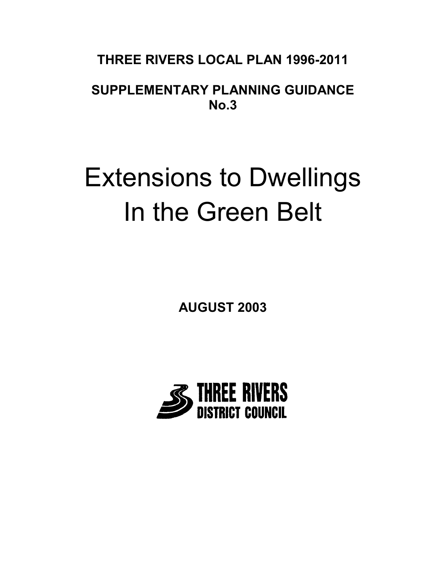# **THREE RIVERS LOCAL PLAN 1996-2011**

# **SUPPLEMENTARY PLANNING GUIDANCE No.3**

# Extensions to Dwellings In the Green Belt

**AUGUST 2003**

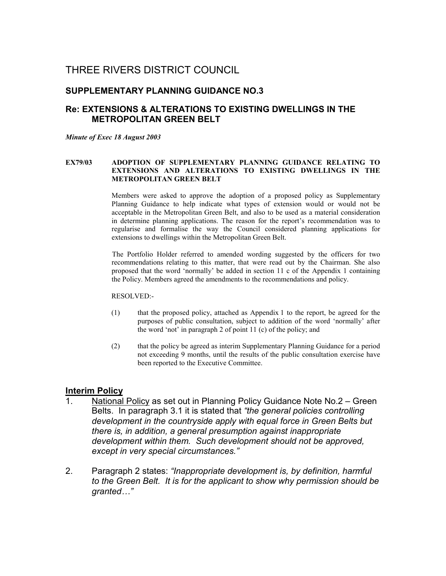# THREE RIVERS DISTRICT COUNCIL

## **SUPPLEMENTARY PLANNING GUIDANCE NO.3**

## **Re: EXTENSIONS & ALTERATIONS TO EXISTING DWELLINGS IN THE METROPOLITAN GREEN BELT**

*Minute of Exec 18 August 2003*

#### **EX79/03 ADOPTION OF SUPPLEMENTARY PLANNING GUIDANCE RELATING TO EXTENSIONS AND ALTERATIONS TO EXISTING DWELLINGS IN THE METROPOLITAN GREEN BELT**

Members were asked to approve the adoption of a proposed policy as Supplementary Planning Guidance to help indicate what types of extension would or would not be acceptable in the Metropolitan Green Belt, and also to be used as a material consideration in determine planning applications. The reason for the report's recommendation was to regularise and formalise the way the Council considered planning applications for extensions to dwellings within the Metropolitan Green Belt.

The Portfolio Holder referred to amended wording suggested by the officers for two recommendations relating to this matter, that were read out by the Chairman. She also proposed that the word 'normally' be added in section 11 c of the Appendix 1 containing the Policy. Members agreed the amendments to the recommendations and policy.

#### RESOLVED:-

- (1) that the proposed policy, attached as Appendix 1 to the report, be agreed for the purposes of public consultation, subject to addition of the word 'normally' after the word 'not' in paragraph 2 of point 11 (c) of the policy; and
- (2) that the policy be agreed as interim Supplementary Planning Guidance for a period not exceeding 9 months, until the results of the public consultation exercise have been reported to the Executive Committee.

## **Interim Policy**

- 1. National Policy as set out in Planning Policy Guidance Note No.2 Green Belts. In paragraph 3.1 it is stated that *"the general policies controlling development in the countryside apply with equal force in Green Belts but there is, in addition, a general presumption against inappropriate development within them. Such development should not be approved, except in very special circumstances."*
- 2. Paragraph 2 states: *"Inappropriate development is, by definition, harmful to the Green Belt. It is for the applicant to show why permission should be granted…"*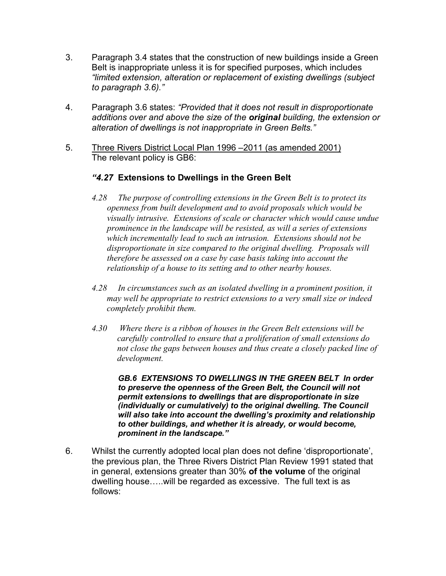- 3. Paragraph 3.4 states that the construction of new buildings inside a Green Belt is inappropriate unless it is for specified purposes, which includes *"limited extension, alteration or replacement of existing dwellings (subject to paragraph 3.6)."*
- 4. Paragraph 3.6 states: *"Provided that it does not result in disproportionate additions over and above the size of the original building, the extension or alteration of dwellings is not inappropriate in Green Belts."*
- 5. Three Rivers District Local Plan 1996 –2011 (as amended 2001) The relevant policy is GB6:

# *"4.27* **Extensions to Dwellings in the Green Belt**

- *4.28 The purpose of controlling extensions in the Green Belt is to protect its openness from built development and to avoid proposals which would be visually intrusive. Extensions of scale or character which would cause undue prominence in the landscape will be resisted, as will a series of extensions which incrementally lead to such an intrusion. Extensions should not be disproportionate in size compared to the original dwelling. Proposals will therefore be assessed on a case by case basis taking into account the relationship of a house to its setting and to other nearby houses.*
- *4.28 In circumstances such as an isolated dwelling in a prominent position, it may well be appropriate to restrict extensions to a very small size or indeed completely prohibit them.*
- *4.30 Where there is a ribbon of houses in the Green Belt extensions will be carefully controlled to ensure that a proliferation of small extensions do not close the gaps between houses and thus create a closely packed line of development.*

*GB.6 EXTENSIONS TO DWELLINGS IN THE GREEN BELT In order to preserve the openness of the Green Belt, the Council will not permit extensions to dwellings that are disproportionate in size (individually or cumulatively) to the original dwelling. The Council will also take into account the dwelling's proximity and relationship to other buildings, and whether it is already, or would become, prominent in the landscape."*

6. Whilst the currently adopted local plan does not define 'disproportionate', the previous plan, the Three Rivers District Plan Review 1991 stated that in general, extensions greater than 30% **of the volume** of the original dwelling house…..will be regarded as excessive. The full text is as follows: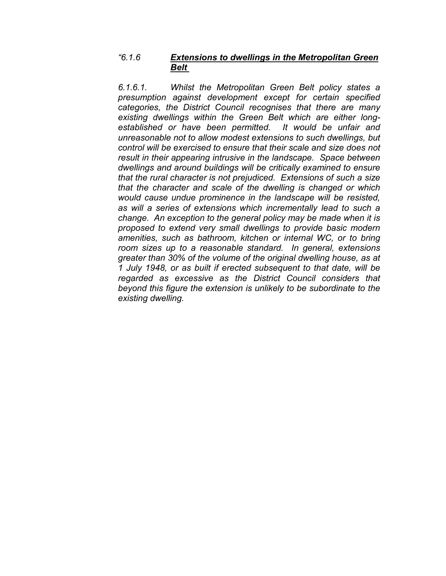# *"6.1.6 Extensions to dwellings in the Metropolitan Green Belt*

*6.1.6.1. Whilst the Metropolitan Green Belt policy states a presumption against development except for certain specified categories, the District Council recognises that there are many existing dwellings within the Green Belt which are either longestablished or have been permitted. It would be unfair and unreasonable not to allow modest extensions to such dwellings, but control will be exercised to ensure that their scale and size does not result in their appearing intrusive in the landscape. Space between dwellings and around buildings will be critically examined to ensure that the rural character is not prejudiced. Extensions of such a size that the character and scale of the dwelling is changed or which would cause undue prominence in the landscape will be resisted, as will a series of extensions which incrementally lead to such a change. An exception to the general policy may be made when it is proposed to extend very small dwellings to provide basic modern amenities, such as bathroom, kitchen or internal WC, or to bring room sizes up to a reasonable standard. In general, extensions greater than 30% of the volume of the original dwelling house, as at 1 July 1948, or as built if erected subsequent to that date, will be regarded as excessive as the District Council considers that beyond this figure the extension is unlikely to be subordinate to the existing dwelling.*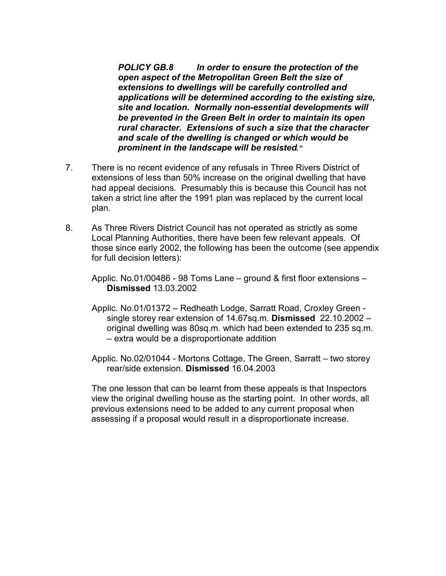*POLICY GB.8 In order to ensure the protection of the open aspect of the Metropolitan Green Belt the size of extensions to dwellings will be carefully controlled and applications will be determined according to the existing size, site and location. Normally non-essential developments will be prevented in the Green Belt in order to maintain its open rural character. Extensions of such a size that the character and scale of the dwelling is changed or which would be prominent in the landscape will be resisted."*

- 7. There is no recent evidence of any refusals in Three Rivers District of extensions of less than 50% increase on the original dwelling that have had appeal decisions. Presumably this is because this Council has not taken a strict line after the 1991 plan was replaced by the current local plan.
- 8. As Three Rivers District Council has not operated as strictly as some Local Planning Authorities, there have been few relevant appeals. Of those since early 2002, the following has been the outcome (see appendix for full decision letters):

Applic. No.01/00486 - 98 Toms Lane – ground & first floor extensions – **Dismissed** 13.03.2002

- Applic. No.01/01372 Redheath Lodge, Sarratt Road, Croxley Green single storey rear extension of 14.67sq.m. **Dismissed** 22.10.2002 – original dwelling was 80sq.m. which had been extended to 235 sq.m. – extra would be a disproportionate addition
- Applic. No.02/01044 Mortons Cottage, The Green, Sarratt two storey rear/side extension. **Dismissed** 16.04.2003

The one lesson that can be learnt from these appeals is that Inspectors view the original dwelling house as the starting point. In other words, all previous extensions need to be added to any current proposal when assessing if a proposal would result in a disproportionate increase.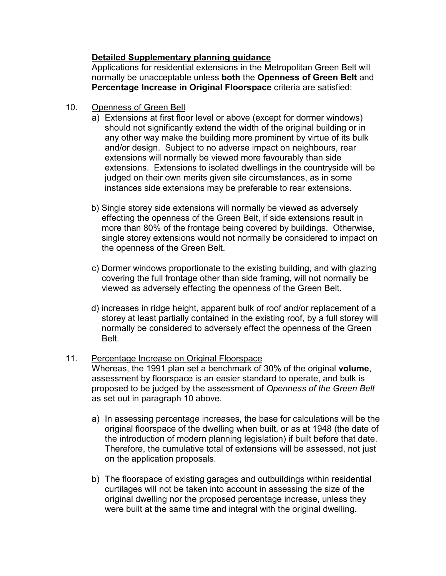# **Detailed Supplementary planning guidance**

Applications for residential extensions in the Metropolitan Green Belt will normally be unacceptable unless **both** the **Openness of Green Belt** and **Percentage Increase in Original Floorspace** criteria are satisfied:

- 10. Openness of Green Belt
	- a) Extensions at first floor level or above (except for dormer windows) should not significantly extend the width of the original building or in any other way make the building more prominent by virtue of its bulk and/or design. Subject to no adverse impact on neighbours, rear extensions will normally be viewed more favourably than side extensions. Extensions to isolated dwellings in the countryside will be judged on their own merits given site circumstances, as in some instances side extensions may be preferable to rear extensions.
	- b) Single storey side extensions will normally be viewed as adversely effecting the openness of the Green Belt, if side extensions result in more than 80% of the frontage being covered by buildings. Otherwise, single storey extensions would not normally be considered to impact on the openness of the Green Belt.
	- c) Dormer windows proportionate to the existing building, and with glazing covering the full frontage other than side framing, will not normally be viewed as adversely effecting the openness of the Green Belt.
	- d) increases in ridge height, apparent bulk of roof and/or replacement of a storey at least partially contained in the existing roof, by a full storey will normally be considered to adversely effect the openness of the Green Belt.
- 11. Percentage Increase on Original Floorspace Whereas, the 1991 plan set a benchmark of 30% of the original **volume**, assessment by floorspace is an easier standard to operate, and bulk is proposed to be judged by the assessment of *Openness of the Green Belt* as set out in paragraph 10 above.
	- a) In assessing percentage increases, the base for calculations will be the original floorspace of the dwelling when built, or as at 1948 (the date of the introduction of modern planning legislation) if built before that date. Therefore, the cumulative total of extensions will be assessed, not just on the application proposals.
	- b) The floorspace of existing garages and outbuildings within residential curtilages will not be taken into account in assessing the size of the original dwelling nor the proposed percentage increase, unless they were built at the same time and integral with the original dwelling.